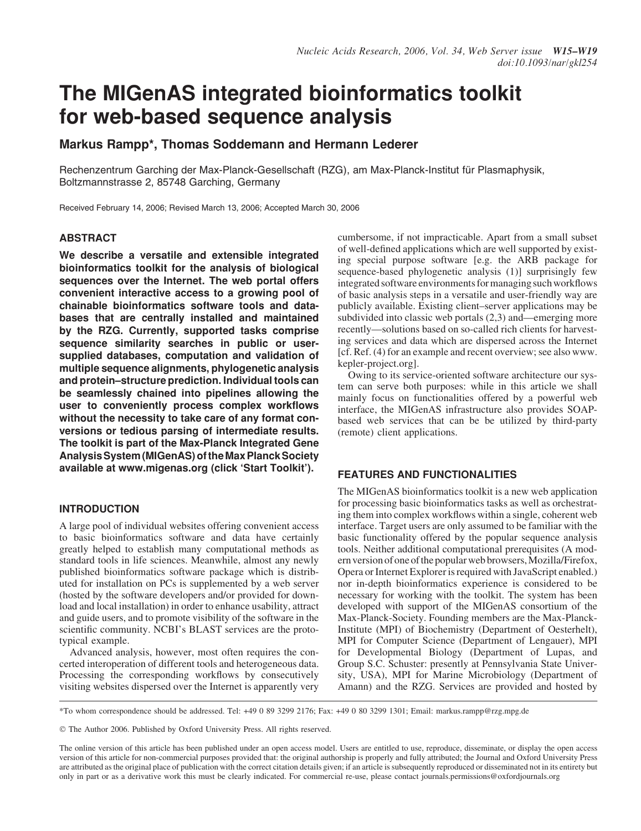# The MIGenAS integrated bioinformatics toolkit for web-based sequence analysis

# Markus Rampp\*, Thomas Soddemann and Hermann Lederer

Rechenzentrum Garching der Max-Planck-Gesellschaft (RZG), am Max-Planck-Institut für Plasmaphysik, Boltzmannstrasse 2, 85748 Garching, Germany

Received February 14, 2006; Revised March 13, 2006; Accepted March 30, 2006

## **ABSTRACT**

We describe a versatile and extensible integrated bioinformatics toolkit for the analysis of biological sequences over the Internet. The web portal offers convenient interactive access to a growing pool of chainable bioinformatics software tools and databases that are centrally installed and maintained by the RZG. Currently, supported tasks comprise sequence similarity searches in public or usersupplied databases, computation and validation of multiple sequence alignments, phylogenetic analysis and protein–structure prediction. Individual tools can be seamlessly chained into pipelines allowing the user to conveniently process complex workflows without the necessity to take care of any format conversions or tedious parsing of intermediate results. The toolkit is part of the Max-Planck Integrated Gene Analysis System (MIGenAS) of theMax PlanckSociety available at www.migenas.org (click 'Start Toolkit').

# INTRODUCTION

A large pool of individual websites offering convenient access to basic bioinformatics software and data have certainly greatly helped to establish many computational methods as standard tools in life sciences. Meanwhile, almost any newly published bioinformatics software package which is distributed for installation on PCs is supplemented by a web server (hosted by the software developers and/or provided for download and local installation) in order to enhance usability, attract and guide users, and to promote visibility of the software in the scientific community. NCBI's BLAST services are the prototypical example.

Advanced analysis, however, most often requires the concerted interoperation of different tools and heterogeneous data. Processing the corresponding workflows by consecutively visiting websites dispersed over the Internet is apparently very

cumbersome, if not impracticable. Apart from a small subset of well-defined applications which are well supported by existing special purpose software [e.g. the ARB package for sequence-based phylogenetic analysis (1)] surprisingly few integrated software environments for managing such workflows of basic analysis steps in a versatile and user-friendly way are publicly available. Existing client–server applications may be subdivided into classic web portals (2,3) and—emerging more recently—solutions based on so-called rich clients for harvesting services and data which are dispersed across the Internet [cf. Ref. (4) for an example and recent overview; see also www. kepler-project.org].

Owing to its service-oriented software architecture our system can serve both purposes: while in this article we shall mainly focus on functionalities offered by a powerful web interface, the MIGenAS infrastructure also provides SOAPbased web services that can be be utilized by third-party (remote) client applications.

# FEATURES AND FUNCTIONALITIES

The MIGenAS bioinformatics toolkit is a new web application for processing basic bioinformatics tasks as well as orchestrating them into complex workflows within a single, coherent web interface. Target users are only assumed to be familiar with the basic functionality offered by the popular sequence analysis tools. Neither additional computational prerequisites (A modern version of one of the popular web browsers, Mozilla/Firefox, Opera or Internet Explorer is required with JavaScript enabled.) nor in-depth bioinformatics experience is considered to be necessary for working with the toolkit. The system has been developed with support of the MIGenAS consortium of the Max-Planck-Society. Founding members are the Max-Planck-Institute (MPI) of Biochemistry (Department of Oesterhelt), MPI for Computer Science (Department of Lengauer), MPI for Developmental Biology (Department of Lupas, and Group S.C. Schuster: presently at Pennsylvania State University, USA), MPI for Marine Microbiology (Department of Amann) and the RZG. Services are provided and hosted by

\*To whom correspondence should be addressed. Tel: +49 0 89 3299 2176; Fax: +49 0 80 3299 1301; Email: markus.rampp@rzg.mpg.de

The Author 2006. Published by Oxford University Press. All rights reserved.

The online version of this article has been published under an open access model. Users are entitled to use, reproduce, disseminate, or display the open access version of this article for non-commercial purposes provided that: the original authorship is properly and fully attributed; the Journal and Oxford University Press are attributed as the original place of publication with the correct citation details given; if an article is subsequently reproduced or disseminated not in its entirety but only in part or as a derivative work this must be clearly indicated. For commercial re-use, please contact journals.permissions@oxfordjournals.org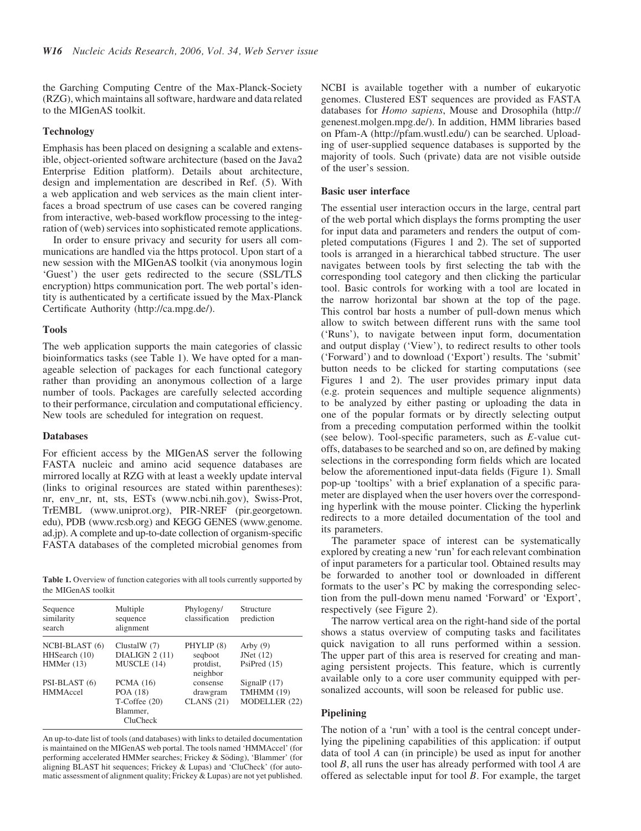the Garching Computing Centre of the Max-Planck-Society (RZG), which maintains all software, hardware and data related to the MIGenAS toolkit.

#### Technology

Emphasis has been placed on designing a scalable and extensible, object-oriented software architecture (based on the Java2 Enterprise Edition platform). Details about architecture, design and implementation are described in Ref. (5). With a web application and web services as the main client interfaces a broad spectrum of use cases can be covered ranging from interactive, web-based workflow processing to the integration of (web) services into sophisticated remote applications.

In order to ensure privacy and security for users all communications are handled via the https protocol. Upon start of a new session with the MIGenAS toolkit (via anonymous login 'Guest') the user gets redirected to the secure (SSL/TLS encryption) https communication port. The web portal's identity is authenticated by a certificate issued by the Max-Planck Certificate Authority ([http://ca.mpg.de](http://ca.mpg.de/)/).

#### Tools

The web application supports the main categories of classic bioinformatics tasks (see Table 1). We have opted for a manageable selection of packages for each functional category rather than providing an anonymous collection of a large number of tools. Packages are carefully selected according to their performance, circulation and computational efficiency. New tools are scheduled for integration on request.

#### **Databases**

For efficient access by the MIGenAS server the following FASTA nucleic and amino acid sequence databases are mirrored locally at RZG with at least a weekly update interval (links to original resources are stated within parentheses): nr, env\_nr, nt, sts, ESTs (www.ncbi.nih.gov), Swiss-Prot, TrEMBL (www.uniprot.org), PIR-NREF (pir.georgetown. edu), PDB (www.rcsb.org) and KEGG GENES (www.genome. ad.jp). A complete and up-to-date collection of organism-specific FASTA databases of the completed microbial genomes from

Table 1. Overview of function categories with all tools currently supported by the MIGenAS toolkit

| Sequence<br>similarity<br>search | Multiple<br>sequence<br>alignment      | Phylogeny/<br>classification | Structure<br>prediction |
|----------------------------------|----------------------------------------|------------------------------|-------------------------|
| NCBI-BLAST (6)                   | ClustalW $(7)$                         | PHYLIP (8)                   | Arby $(9)$              |
| HHSearch (10)                    | DIALIGN $2(11)$                        | seqboot                      | JNet $(12)$             |
| HMMer(13)                        | MUSCLE (14)                            | protdist,<br>neighbor        | PsiPred $(15)$          |
| PSI-BLAST (6)                    | <b>PCMA</b> (16)                       | consense                     | Signal $P(17)$          |
| <b>HMMAccel</b>                  | POA (18)                               | drawgram                     | TMHMM (19)              |
|                                  | $T-Coffee(20)$<br>Blammer,<br>CluCheck | CLANS (21)                   | MODELLER (22)           |

An up-to-date list of tools (and databases) with links to detailed documentation is maintained on the MIGenAS web portal. The tools named 'HMMAccel' (for performing accelerated HMMer searches; Frickey & Söding), 'Blammer' (for aligning BLAST hit sequences; Frickey & Lupas) and 'CluCheck' (for automatic assessment of alignment quality; Frickey & Lupas) are not yet published. NCBI is available together with a number of eukaryotic genomes. Clustered EST sequences are provided as FASTA databases for Homo sapiens, Mouse and Drosophila (<http://> genenest.molgen.mpg.de/). In addition, HMM libraries based on Pfam-A ([http://pfam.wustl.edu/\)](http://pfam.wustl.edu/) can be searched. Uploading of user-supplied sequence databases is supported by the majority of tools. Such (private) data are not visible outside of the user's session.

#### Basic user interface

The essential user interaction occurs in the large, central part of the web portal which displays the forms prompting the user for input data and parameters and renders the output of completed computations (Figures 1 and 2). The set of supported tools is arranged in a hierarchical tabbed structure. The user navigates between tools by first selecting the tab with the corresponding tool category and then clicking the particular tool. Basic controls for working with a tool are located in the narrow horizontal bar shown at the top of the page. This control bar hosts a number of pull-down menus which allow to switch between different runs with the same tool ('Runs'), to navigate between input form, documentation and output display ('View'), to redirect results to other tools ('Forward') and to download ('Export') results. The 'submit' button needs to be clicked for starting computations (see Figures 1 and 2). The user provides primary input data (e.g. protein sequences and multiple sequence alignments) to be analyzed by either pasting or uploading the data in one of the popular formats or by directly selecting output from a preceding computation performed within the toolkit (see below). Tool-specific parameters, such as E-value cutoffs, databases to be searched and so on, are defined by making selections in the corresponding form fields which are located below the aforementioned input-data fields (Figure 1). Small pop-up 'tooltips' with a brief explanation of a specific parameter are displayed when the user hovers over the corresponding hyperlink with the mouse pointer. Clicking the hyperlink redirects to a more detailed documentation of the tool and its parameters.

The parameter space of interest can be systematically explored by creating a new 'run' for each relevant combination of input parameters for a particular tool. Obtained results may be forwarded to another tool or downloaded in different formats to the user's PC by making the corresponding selection from the pull-down menu named 'Forward' or 'Export', respectively (see Figure 2).

The narrow vertical area on the right-hand side of the portal shows a status overview of computing tasks and facilitates quick navigation to all runs performed within a session. The upper part of this area is reserved for creating and managing persistent projects. This feature, which is currently available only to a core user community equipped with personalized accounts, will soon be released for public use.

#### Pipelining

The notion of a 'run' with a tool is the central concept underlying the pipelining capabilities of this application: if output data of tool A can (in principle) be used as input for another tool B, all runs the user has already performed with tool A are offered as selectable input for tool  $B$ . For example, the target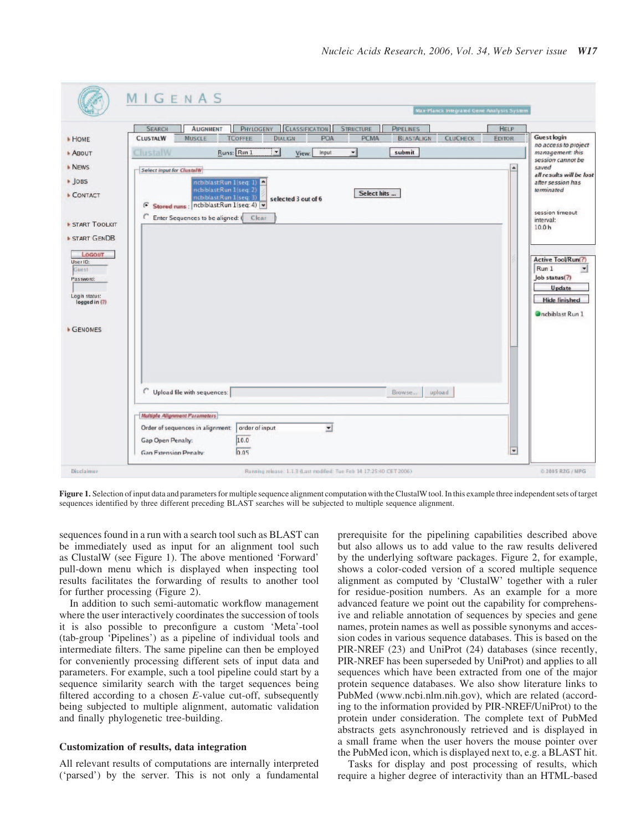|                                                         | <b>Max-Planck Integrated Gene Analysis System</b>                                                                                                                   |                                                                                 |
|---------------------------------------------------------|---------------------------------------------------------------------------------------------------------------------------------------------------------------------|---------------------------------------------------------------------------------|
|                                                         | <b>CLASSIFICATION</b><br>PHYLOGENY<br><b>ALIGNMENT</b><br><b>STRUCTURE</b><br><b>PIPELINES</b><br><b>HELP</b><br><b>SEARCH</b>                                      |                                                                                 |
| $\triangleright$ HOME                                   | POA<br><b>CLUSTALW</b><br><b>MUSCLE</b><br><b>TCOFFEE</b><br>DIALIGN<br><b>PCMA</b><br><b>BLASTALIGN</b><br><b>CLUCHECK</b><br><b>EDITOR</b>                        | <b>Guest login</b><br>no access to project                                      |
| <b>ABOUT</b>                                            | Runs: Run 1<br>$\mathbf{r}$<br>submit<br>ClustalW<br>Input<br>$\mathbf{r}$<br>View:                                                                                 | management: this                                                                |
| <b>NEWS</b>                                             | Select input for ClustalW                                                                                                                                           | session cannot be<br>saved                                                      |
| $\bigcup$ OBS<br><b>CONTACT</b>                         | ncbiblast:Run 1(seq: 1)<br>ncbiblast:Run 1(seq: 2)<br>Select hits<br>ncbiblast:Run 1(seq: 3)<br>selected 3 out of 6<br>Stored runs : ncbiblast:Run 1(seq: 4) v<br>G | all results will be lost<br>after session has<br>terminated                     |
| <b>START TOOLKIT</b>                                    | Enter Sequences to be aligned: (Clear<br>c                                                                                                                          | session timeout<br>interval:<br>10.0 <sub>h</sub>                               |
| START GENDB<br>LOGOUT<br>User ID:<br>Guest<br>Password: |                                                                                                                                                                     | <b>Active Tool/Run(?)</b><br>Run 1<br>$\overline{\phantom{a}}$<br>Job status(?) |
|                                                         |                                                                                                                                                                     | <b>Update</b>                                                                   |
| Login status:<br>logged in (?)                          |                                                                                                                                                                     | <b>Hide finished</b>                                                            |
|                                                         |                                                                                                                                                                     | Oncbiblast Run 1                                                                |
| GENOMES                                                 |                                                                                                                                                                     |                                                                                 |
|                                                         |                                                                                                                                                                     |                                                                                 |
|                                                         |                                                                                                                                                                     |                                                                                 |
|                                                         |                                                                                                                                                                     |                                                                                 |
|                                                         |                                                                                                                                                                     |                                                                                 |
|                                                         | Upload file with sequences:<br>с<br>Browse<br>upload                                                                                                                |                                                                                 |
|                                                         |                                                                                                                                                                     |                                                                                 |
|                                                         |                                                                                                                                                                     |                                                                                 |
|                                                         | Multiple Allgriment Parameters<br>order of input<br>$\mathbf{r}$                                                                                                    |                                                                                 |
|                                                         | Order of sequences in alignment:<br>10.0<br>Gap Open Penalty:                                                                                                       |                                                                                 |

Figure 1. Selection of input data and parameters for multiple sequence alignment computation with the ClustalW tool. In this example three independent sets of target sequences identified by three different preceding BLAST searches will be subjected to multiple sequence alignment.

sequences found in a run with a search tool such as BLAST can be immediately used as input for an alignment tool such as ClustalW (see Figure 1). The above mentioned 'Forward' pull-down menu which is displayed when inspecting tool results facilitates the forwarding of results to another tool for further processing (Figure 2).

In addition to such semi-automatic workflow management where the user interactively coordinates the succession of tools it is also possible to preconfigure a custom 'Meta'-tool (tab-group 'Pipelines') as a pipeline of individual tools and intermediate filters. The same pipeline can then be employed for conveniently processing different sets of input data and parameters. For example, such a tool pipeline could start by a sequence similarity search with the target sequences being filtered according to a chosen  $E$ -value cut-off, subsequently being subjected to multiple alignment, automatic validation and finally phylogenetic tree-building.

#### Customization of results, data integration

All relevant results of computations are internally interpreted ('parsed') by the server. This is not only a fundamental prerequisite for the pipelining capabilities described above but also allows us to add value to the raw results delivered by the underlying software packages. Figure 2, for example, shows a color-coded version of a scored multiple sequence alignment as computed by 'ClustalW' together with a ruler for residue-position numbers. As an example for a more advanced feature we point out the capability for comprehensive and reliable annotation of sequences by species and gene names, protein names as well as possible synonyms and accession codes in various sequence databases. This is based on the PIR-NREF (23) and UniProt (24) databases (since recently, PIR-NREF has been superseded by UniProt) and applies to all sequences which have been extracted from one of the major protein sequence databases. We also show literature links to PubMed (www.ncbi.nlm.nih.gov), which are related (according to the information provided by PIR-NREF/UniProt) to the protein under consideration. The complete text of PubMed abstracts gets asynchronously retrieved and is displayed in a small frame when the user hovers the mouse pointer over the PubMed icon, which is displayed next to, e.g. a BLAST hit.

Tasks for display and post processing of results, which require a higher degree of interactivity than an HTML-based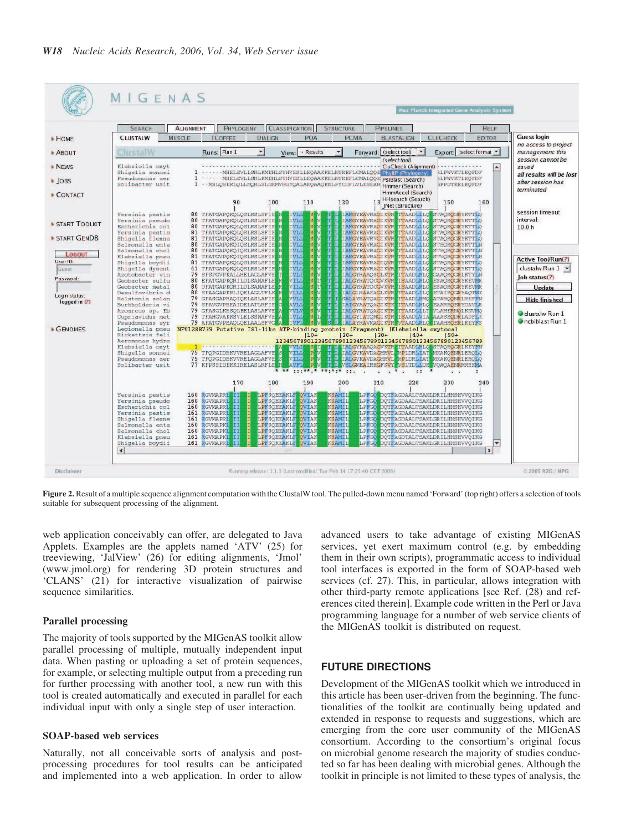

Figure 2. Result of a multiple sequence alignment computation with the ClustalW tool. The pulled-down menu named 'Forward' (top right) offers a selection of tools suitable for subsequent processing of the alignment.

web application conceivably can offer, are delegated to Java Applets. Examples are the applets named 'ATV' (25) for treeviewing, 'JalView' (26) for editing alignments, 'Jmol' (www.jmol.org) for rendering 3D protein structures and 'CLANS' (21) for interactive visualization of pairwise sequence similarities.

#### Parallel processing

The majority of tools supported by the MIGenAS toolkit allow parallel processing of multiple, mutually independent input data. When pasting or uploading a set of protein sequences, for example, or selecting multiple output from a preceding run for further processing with another tool, a new run with this tool is created automatically and executed in parallel for each individual input with only a single step of user interaction.

#### SOAP-based web services

Naturally, not all conceivable sorts of analysis and postprocessing procedures for tool results can be anticipated and implemented into a web application. In order to allow advanced users to take advantage of existing MIGenAS services, yet exert maximum control (e.g. by embedding them in their own scripts), programmatic access to individual tool interfaces is exported in the form of SOAP-based web services (cf. 27). This, in particular, allows integration with other third-party remote applications [see Ref. (28) and references cited therein]. Example code written in the Perl or Java programming language for a number of web service clients of the MIGenAS toolkit is distributed on request.

#### FUTURE DIRECTIONS

Development of the MIGenAS toolkit which we introduced in this article has been user-driven from the beginning. The functionalities of the toolkit are continually being updated and extended in response to requests and suggestions, which are emerging from the core user community of the MIGenAS consortium. According to the consortium's original focus on microbial genome research the majority of studies conducted so far has been dealing with microbial genes. Although the toolkit in principle is not limited to these types of analysis, the